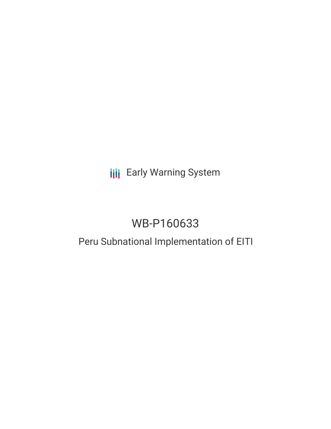## **III** Early Warning System

# WB-P160633

## Peru Subnational Implementation of EITI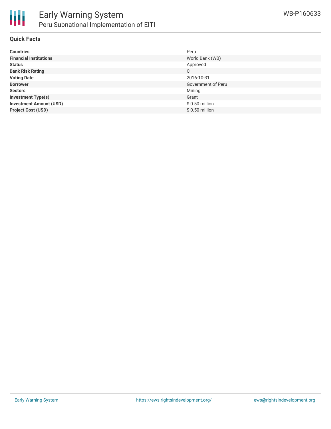

#### **Quick Facts**

| <b>Countries</b>               | Peru               |
|--------------------------------|--------------------|
| <b>Financial Institutions</b>  | World Bank (WB)    |
| <b>Status</b>                  | Approved           |
| <b>Bank Risk Rating</b>        | C                  |
| <b>Voting Date</b>             | 2016-10-31         |
| <b>Borrower</b>                | Government of Peru |
| <b>Sectors</b>                 | Mining             |
| <b>Investment Type(s)</b>      | Grant              |
| <b>Investment Amount (USD)</b> | $$0.50$ million    |
| <b>Project Cost (USD)</b>      | $$0.50$ million    |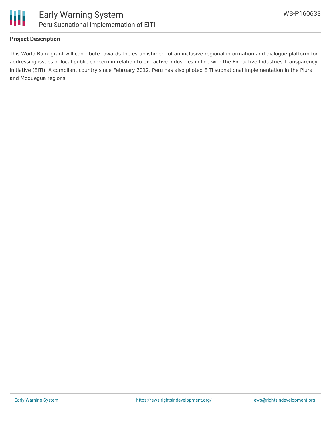

### **Project Description**

This World Bank grant will contribute towards the establishment of an inclusive regional information and dialogue platform for addressing issues of local public concern in relation to extractive industries in line with the Extractive Industries Transparency Initiative (EITI). A compliant country since February 2012, Peru has also piloted EITI subnational implementation in the Piura and Moquegua regions.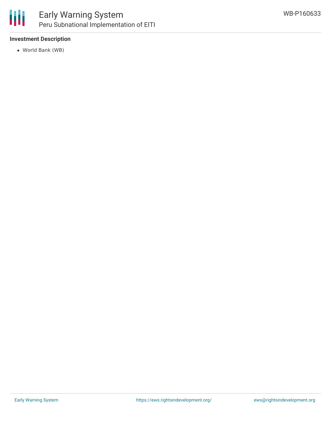

### Early Warning System Peru Subnational Implementation of EITI

### **Investment Description**

World Bank (WB)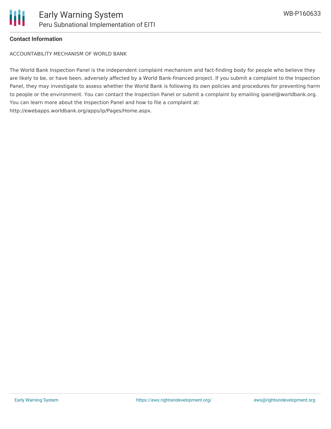

#### **Contact Information**

ACCOUNTABILITY MECHANISM OF WORLD BANK

The World Bank Inspection Panel is the independent complaint mechanism and fact-finding body for people who believe they are likely to be, or have been, adversely affected by a World Bank-financed project. If you submit a complaint to the Inspection Panel, they may investigate to assess whether the World Bank is following its own policies and procedures for preventing harm to people or the environment. You can contact the Inspection Panel or submit a complaint by emailing ipanel@worldbank.org. You can learn more about the Inspection Panel and how to file a complaint at: http://ewebapps.worldbank.org/apps/ip/Pages/Home.aspx.